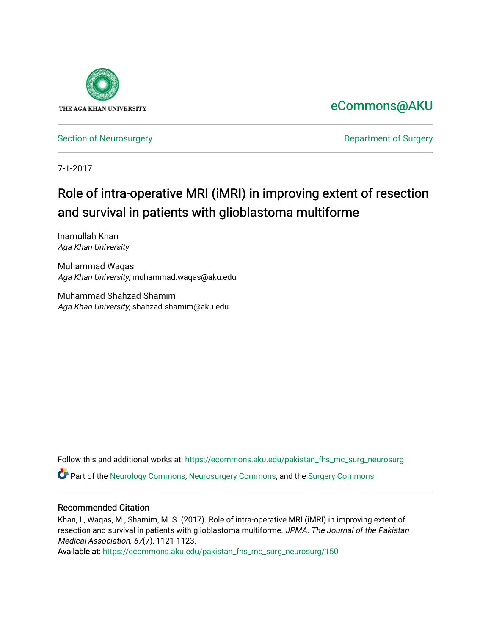

### [eCommons@AKU](https://ecommons.aku.edu/)

[Section of Neurosurgery](https://ecommons.aku.edu/pakistan_fhs_mc_surg_neurosurg) **Department of Surgery** Department of Surgery

7-1-2017

# Role of intra-operative MRI (iMRI) in improving extent of resection and survival in patients with glioblastoma multiforme

Inamullah Khan Aga Khan University

Muhammad Waqas Aga Khan University, muhammad.waqas@aku.edu

Muhammad Shahzad Shamim Aga Khan University, shahzad.shamim@aku.edu

Follow this and additional works at: [https://ecommons.aku.edu/pakistan\\_fhs\\_mc\\_surg\\_neurosurg](https://ecommons.aku.edu/pakistan_fhs_mc_surg_neurosurg?utm_source=ecommons.aku.edu%2Fpakistan_fhs_mc_surg_neurosurg%2F150&utm_medium=PDF&utm_campaign=PDFCoverPages) 

Part of the [Neurology Commons](http://network.bepress.com/hgg/discipline/692?utm_source=ecommons.aku.edu%2Fpakistan_fhs_mc_surg_neurosurg%2F150&utm_medium=PDF&utm_campaign=PDFCoverPages), [Neurosurgery Commons](http://network.bepress.com/hgg/discipline/1428?utm_source=ecommons.aku.edu%2Fpakistan_fhs_mc_surg_neurosurg%2F150&utm_medium=PDF&utm_campaign=PDFCoverPages), and the [Surgery Commons](http://network.bepress.com/hgg/discipline/706?utm_source=ecommons.aku.edu%2Fpakistan_fhs_mc_surg_neurosurg%2F150&utm_medium=PDF&utm_campaign=PDFCoverPages) 

#### Recommended Citation

Khan, I., Waqas, M., Shamim, M. S. (2017). Role of intra-operative MRI (iMRI) in improving extent of resection and survival in patients with glioblastoma multiforme. JPMA. The Journal of the Pakistan Medical Association, 67(7), 1121-1123.

Available at: [https://ecommons.aku.edu/pakistan\\_fhs\\_mc\\_surg\\_neurosurg/150](https://ecommons.aku.edu/pakistan_fhs_mc_surg_neurosurg/150)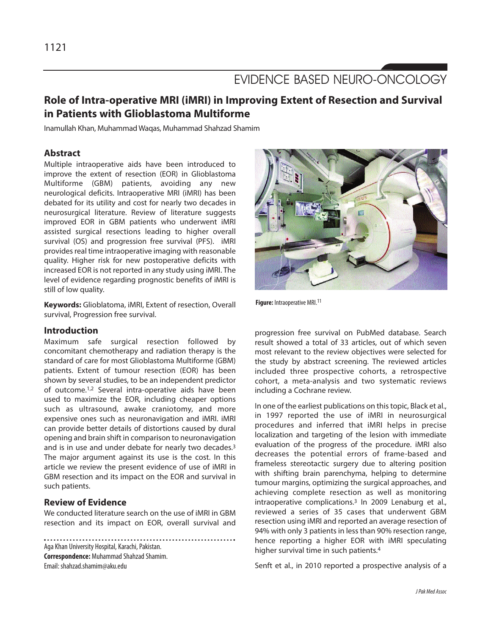## EVIDENCE BASED NEURO-ONCOLOGY

### **Role of Intra-operative MRI (iMRI) in Improving Extent of Resection and Survival in Patients with Glioblastoma Multiforme**

Inamullah Khan, Muhammad Waqas, Muhammad Shahzad Shamim

#### **Abstract**

Multiple intraoperative aids have been introduced to improve the extent of resection (EOR) in Glioblastoma Multiforme (GBM) patients, avoiding any new neurological deficits. Intraoperative MRI (iMRI) has been debated for its utility and cost for nearly two decades in neurosurgical literature. Review of literature suggests improved EOR in GBM patients who underwent iMRI assisted surgical resections leading to higher overall survival (OS) and progression free survival (PFS). iMRI provides real time intraoperative imaging with reasonable quality. Higher risk for new postoperative deficits with increased EOR is not reported in any study using iMRI. The level of evidence regarding prognostic benefits of iMRI is still of low quality.

**Keywords:** Glioblatoma, iMRI, Extent of resection, Overall survival, Progression free survival.

#### **Introduction**

Maximum safe surgical resection followed by concomitant chemotherapy and radiation therapy is the standard of care for most Glioblastoma Multiforme (GBM) patients. Extent of tumour resection (EOR) has been shown by several studies, to be an independent predictor of outcome.1,2 Several intra-operative aids have been used to maximize the EOR, including cheaper options such as ultrasound, awake craniotomy, and more expensive ones such as neuronavigation and iMRI. iMRI can provide better details of distortions caused by dural opening and brain shift in comparison to neuronavigation and is in use and under debate for nearly two decades.<sup>3</sup> The major argument against its use is the cost. In this article we review the present evidence of use of iMRI in GBM resection and its impact on the EOR and survival in such patients.

#### **Review of Evidence**

We conducted literature search on the use of iMRI in GBM resection and its impact on EOR, overall survival and

Aga Khan University Hospital, Karachi, Pakistan. **Correspondence:** Muhammad Shahzad Shamim. Email: shahzad.shamim@aku.edu



**Figure:** Intraoperative MRI.<sup>11</sup>

progression free survival on PubMed database. Search result showed a total of 33 articles, out of which seven most relevant to the review objectives were selected for the study by abstract screening. The reviewed articles included three prospective cohorts, a retrospective cohort, a meta-analysis and two systematic reviews including a Cochrane review.

In one of the earliest publications on this topic, Black et al., in 1997 reported the use of iMRI in neurosurgical procedures and inferred that iMRI helps in precise localization and targeting of the lesion with immediate evaluation of the progress of the procedure. iMRI also decreases the potential errors of frame-based and frameless stereotactic surgery due to altering position with shifting brain parenchyma, helping to determine tumour margins, optimizing the surgical approaches, and achieving complete resection as well as monitoring intraoperative complications.<sup>3</sup> In 2009 Lenaburg et al., reviewed a series of 35 cases that underwent GBM resection using iMRI and reported an average resection of 94% with only 3 patients in less than 90% resection range, hence reporting a higher EOR with iMRI speculating higher survival time in such patients.<sup>4</sup>

Senft et al., in 2010 reported a prospective analysis of a